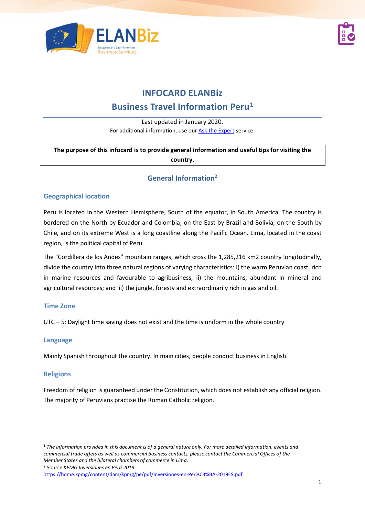



# **INFOCARD ELANBiz**

# **Business Travel Information Peru<sup>1</sup>**

Last updated in January 2020. For additional information, use our [Ask the Expert](https://www.elanbiz.org/ask-our-experts) service.

**The purpose of this infocard is to provide general information and useful tips for visiting the country.**

# **General Information<sup>2</sup>**

#### **Geographical location**

Peru is located in the Western Hemisphere, South of the equator, in South America. The country is bordered on the North by Ecuador and Colombia; on the East by Brazil and Bolivia; on the South by Chile, and on its extreme West is a long coastline along the Pacific Ocean. Lima, located in the coast region, is the political capital of Peru.

The "Cordillera de los Andes" mountain ranges, which cross the 1,285,216 km2 country longitudinally, divide the country into three natural regions of varying characteristics: i) the warm Peruvian coast, rich in marine resources and favourable to agribusiness; ii) the mountains, abundant in mineral and agricultural resources; and iii) the jungle, foresty and extraordinarily rich in gas and oil.

#### **Time Zone**

UTC – 5: Daylight time saving does not exist and the time is uniform in the whole country

#### **Language**

Mainly Spanish throughout the country. In main cities, people conduct business in English.

#### **Religions**

Freedom of religion is guaranteed under the Constitution, which does not establish any official religion. The majority of Peruvians practise the Roman Catholic religion.

<sup>1</sup> *The information provided in this document is of a general nature only. For more detailed information, events and commercial trade offers as well as commercial business contacts, please contact the Commercial Offices of the Member States and the bilateral chambers of commerce in Lima.*

<sup>2</sup> Source *KPMG Inversiones en Perú 2019*:

<https://home.kpmg/content/dam/kpmg/pe/pdf/Inversiones-en-Per%C3%BA-2019ES.pdf>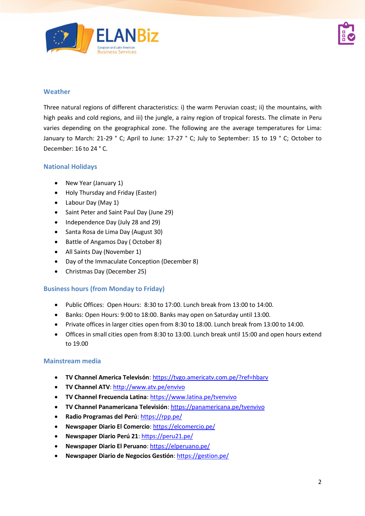



### **Weather**

Three natural regions of different characteristics: i) the warm Peruvian coast; ii) the mountains, with high peaks and cold regions, and iii) the jungle, a rainy region of tropical forests. The climate in Peru varies depending on the geographical zone. The following are the average temperatures for Lima: January to March: 21-29 ° C; April to June: 17-27 ° C; July to September: 15 to 19 ° C; October to December: 16 to 24 ° C.

#### **National Holidays**

- New Year (January 1)
- Holy Thursday and Friday (Easter)
- Labour Day (May 1)
- Saint Peter and Saint Paul Day (June 29)
- Independence Day (July 28 and 29)
- Santa Rosa de Lima Day (August 30)
- Battle of Angamos Day ( October 8)
- All Saints Day (November 1)
- Day of the Immaculate Conception (December 8)
- Christmas Day (December 25)

#### **Business hours (from Monday to Friday)**

- Public Offices: Open Hours: 8:30 to 17:00. Lunch break from 13:00 to 14:00.
- Banks: Open Hours: 9:00 to 18:00. Banks may open on Saturday until 13:00.
- Private offices in larger cities open from 8:30 to 18:00. Lunch break from 13:00 to 14:00.
- Offices in small cities open from 8:30 to 13:00. Lunch break until 15:00 and open hours extend to 19.00

#### **Mainstream media**

- **TV Channel America Televisón**: <https://tvgo.americatv.com.pe/?ref=hbarv>
- **TV Channel ATV**[: http://www.atv.pe/envivo](http://www.atv.pe/envivo)
- **TV Channel Frecuencia Latina**: <https://www.latina.pe/tvenvivo>
- **TV Channel Panamericana Televisión**: <https://panamericana.pe/tvenvivo>
- **Radio Programas del Perú**: <https://rpp.pe/>
- **Newspaper Diario El Comercio**: <https://elcomercio.pe/>
- **Newspaper Diario Perú 21**: <https://peru21.pe/>
- **Newspaper Diario El Peruano**: <https://elperuano.pe/>
- **Newspaper Diario de Negocios Gestión**: <https://gestion.pe/>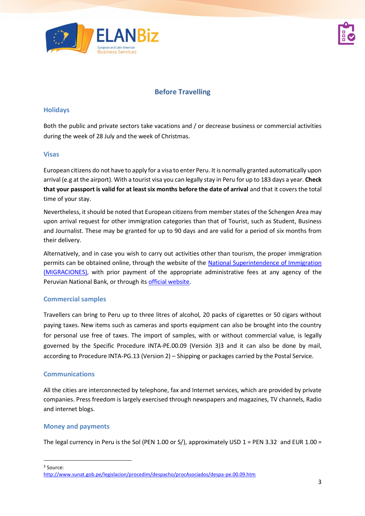



# **Before Travelling**

#### **Holidays**

Both the public and private sectors take vacations and / or decrease business or commercial activities during the week of 28 July and the week of Christmas.

#### **Visas**

European citizens do not have to apply for a visa to enter Peru. It is normally granted automatically upon arrival (e.g at the airport). With a tourist visa you can legally stay in Peru for up to 183 days a year. **Check that your passport is valid for at least six months before the date of arrival** and that it covers the total time of your stay.

Nevertheless, it should be noted that European citizens from member states of the Schengen Area may upon arrival request for other immigration categories than that of Tourist, such as Student, Business and Journalist. These may be granted for up to 90 days and are valid for a period of six months from their delivery.

Alternatively, and in case you wish to carry out activities other than tourism, the proper immigration permits can be obtained online, through the website of the National Superintendence of Immigration [\(MIGRACIONES\),](https://www.migraciones.gob.pe/) with prior payment of the appropriate administrative fees at any agency of the Peruvian National Bank, or through its [official website.](https://pagalo.pe/)

#### **Commercial samples**

Travellers can bring to Peru up to three litres of alcohol, 20 packs of cigarettes or 50 cigars without paying taxes. New items such as cameras and sports equipment can also be brought into the country for personal use free of taxes. The import of samples, with or without commercial value, is legally governed by the Specific Procedure INTA-PE.00.09 (Versión 3)3 and it can also be done by mail, according to Procedure INTA-PG.13 (Version 2) – Shipping or packages carried by the Postal Service.

#### **Communications**

All the cities are interconnected by telephone, fax and Internet services, which are provided by private companies. Press freedom is largely exercised through newspapers and magazines, TV channels, Radio and internet blogs.

#### **Money and payments**

The legal currency in Peru is the Sol (PEN 1.00 or S/), approximately USD  $1 = PEN 3.32$  and EUR  $1.00 =$ 

<sup>3</sup> Source:

<http://www.sunat.gob.pe/legislacion/procedim/despacho/procAsociados/despa-pe.00.09.htm>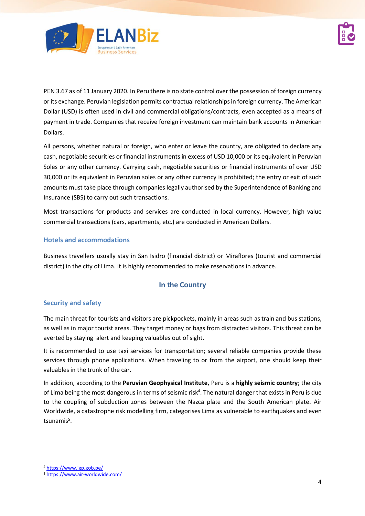



PEN 3.67 as of 11 January 2020. In Peru there is no state control over the possession of foreign currency or its exchange. Peruvian legislation permits contractual relationships in foreign currency. The American Dollar (USD) is often used in civil and commercial obligations/contracts, even accepted as a means of payment in trade. Companies that receive foreign investment can maintain bank accounts in American Dollars.

All persons, whether natural or foreign, who enter or leave the country, are obligated to declare any cash, negotiable securities or financial instruments in excess of USD 10,000 or its equivalent in Peruvian Soles or any other currency. Carrying cash, negotiable securities or financial instruments of over USD 30,000 or its equivalent in Peruvian soles or any other currency is prohibited; the entry or exit of such amounts must take place through companies legally authorised by the Superintendence of Banking and Insurance (SBS) to carry out such transactions.

Most transactions for products and services are conducted in local currency. However, high value commercial transactions (cars, apartments, etc.) are conducted in American Dollars.

### **Hotels and accommodations**

Business travellers usually stay in San Isidro (financial district) or Miraflores (tourist and commercial district) in the city of Lima. It is highly recommended to make reservations in advance.

## **In the Country**

## **Security and safety**

The main threat for tourists and visitors are pickpockets, mainly in areas such as train and bus stations, as well as in major tourist areas. They target money or bags from distracted visitors. This threat can be averted by staying alert and keeping valuables out of sight.

It is recommended to use taxi services for transportation; several reliable companies provide these services through phone applications. When traveling to or from the airport, one should keep their valuables in the trunk of the car.

In addition, according to the **Peruvian Geophysical Institute**, Peru is a **highly seismic country**; the city of Lima being the most dangerous in terms of seismic risk<sup>4</sup>. The natural danger that exists in Peru is due to the coupling of subduction zones between the Nazca plate and the South American plate. Air Worldwide, a catastrophe risk modelling firm, categorises Lima as vulnerable to earthquakes and even tsunamis 5 .

<sup>4</sup> <https://www.igp.gob.pe/>

<sup>5</sup> <https://www.air-worldwide.com/>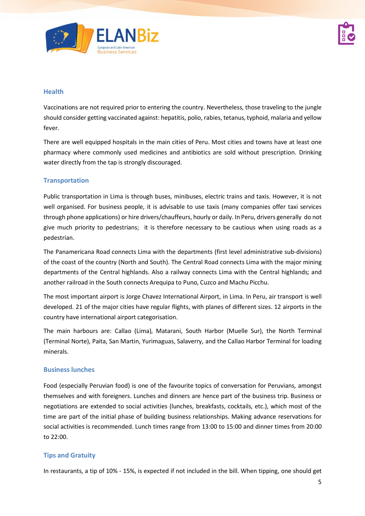

#### **Health**

Vaccinations are not required prior to entering the country. Nevertheless, those traveling to the jungle should consider getting vaccinated against: hepatitis, polio, rabies, tetanus, typhoid, malaria and yellow fever.

There are well equipped hospitals in the main cities of Peru. Most cities and towns have at least one pharmacy where commonly used medicines and antibiotics are sold without prescription. Drinking water directly from the tap is strongly discouraged.

### **Transportation**

Public transportation in Lima is through buses, minibuses, electric trains and taxis. However, it is not well organised. For business people, it is advisable to use taxis (many companies offer taxi services through phone applications) or hire drivers/chauffeurs, hourly or daily. In Peru, drivers generally do not give much priority to pedestrians; it is therefore necessary to be cautious when using roads as a pedestrian.

The Panamericana Road connects Lima with the departments (first level administrative sub-divisions) of the coast of the country (North and South). The Central Road connects Lima with the major mining departments of the Central highlands. Also a railway connects Lima with the Central highlands; and another railroad in the South connects Arequipa to Puno, Cuzco and Machu Picchu.

The most important airport is Jorge Chavez International Airport, in Lima. In Peru, air transport is well developed. 21 of the major cities have regular flights, with planes of different sizes. 12 airports in the country have international airport categorisation.

The main harbours are: Callao (Lima), Matarani, South Harbor (Muelle Sur), the North Terminal (Terminal Norte), Paita, San Martin, Yurimaguas, Salaverry, and the Callao Harbor Terminal for loading minerals.

#### **Business lunches**

Food (especially Peruvian food) is one of the favourite topics of conversation for Peruvians, amongst themselves and with foreigners. Lunches and dinners are hence part of the business trip. Business or negotiations are extended to social activities (lunches, breakfasts, cocktails, etc.), which most of the time are part of the initial phase of building business relationships. Making advance reservations for social activities is recommended. Lunch times range from 13:00 to 15:00 and dinner times from 20:00 to 22:00.

## **Tips and Gratuity**

In restaurants, a tip of 10% - 15%, is expected if not included in the bill. When tipping, one should get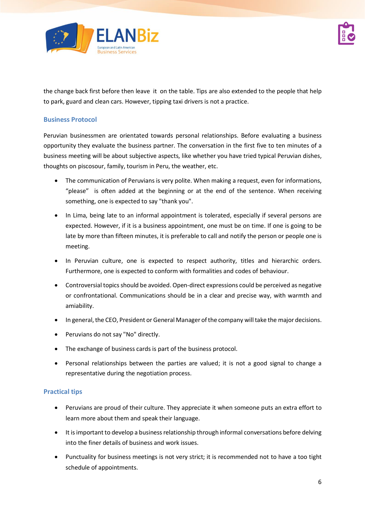



the change back first before then leave it on the table. Tips are also extended to the people that help to park, guard and clean cars. However, tipping taxi drivers is not a practice.

#### **Business Protocol**

Peruvian businessmen are orientated towards personal relationships. Before evaluating a business opportunity they evaluate the business partner. The conversation in the first five to ten minutes of a business meeting will be about subjective aspects, like whether you have tried typical Peruvian dishes, thoughts on piscosour, family, tourism in Peru, the weather, etc.

- The communication of Peruvians is very polite. When making a request, even for informations, "please" is often added at the beginning or at the end of the sentence. When receiving something, one is expected to say "thank you".
- In Lima, being late to an informal appointment is tolerated, especially if several persons are expected. However, if it is a business appointment, one must be on time. If one is going to be late by more than fifteen minutes, it is preferable to call and notify the person or people one is meeting.
- In Peruvian culture, one is expected to respect authority, titles and hierarchic orders. Furthermore, one is expected to conform with formalities and codes of behaviour.
- Controversial topics should be avoided. Open-direct expressions could be perceived as negative or confrontational. Communications should be in a clear and precise way, with warmth and amiability.
- In general, the CEO, President or General Manager of the company will take the major decisions.
- Peruvians do not say "No" directly.
- The exchange of business cards is part of the business protocol.
- Personal relationships between the parties are valued; it is not a good signal to change a representative during the negotiation process.

#### **Practical tips**

- Peruvians are proud of their culture. They appreciate it when someone puts an extra effort to learn more about them and speak their language.
- It is important to develop a business relationship through informal conversations before delving into the finer details of business and work issues.
- Punctuality for business meetings is not very strict; it is recommended not to have a too tight schedule of appointments.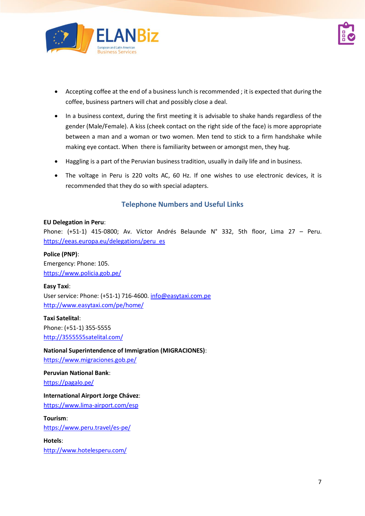

- Accepting coffee at the end of a business lunch is recommended ; it is expected that during the coffee, business partners will chat and possibly close a deal.
- In a business context, during the first meeting it is advisable to shake hands regardless of the gender (Male/Female). A kiss (cheek contact on the right side of the face) is more appropriate between a man and a woman or two women. Men tend to stick to a firm handshake while making eye contact. When there is familiarity between or amongst men, they hug.
- Haggling is a part of the Peruvian business tradition, usually in daily life and in business.
- The voltage in Peru is 220 volts AC, 60 Hz. If one wishes to use electronic devices, it is recommended that they do so with special adapters.

# **Telephone Numbers and Useful Links**

#### **EU Delegation in Peru**:

Phone: (+51-1) 415-0800; Av. Víctor Andrés Belaunde N° 332, 5th floor, Lima 27 – Peru. [https://eeas.europa.eu/delegations/peru\\_es](https://eeas.europa.eu/delegations/peru_es)

**Police (PNP)**: Emergency: Phone: 105. <https://www.policia.gob.pe/>

**Easy Taxi**: User service: Phone: (+51-1) 716-4600[. info@easytaxi.com.pe](mailto:info@easytaxi.com.pe) <http://www.easytaxi.com/pe/home/>

**Taxi Satelital**: Phone: (+51-1) 355-5555 <http://3555555satelital.com/>

#### **National Superintendence of Immigration (MIGRACIONES)**:

<https://www.migraciones.gob.pe/>

**Peruvian National Bank**:

<https://pagalo.pe/>

**International Airport Jorge Chávez**:

<https://www.lima-airport.com/esp>

**Tourism**:

<https://www.peru.travel/es-pe/>

**Hotels**:

<http://www.hotelesperu.com/>